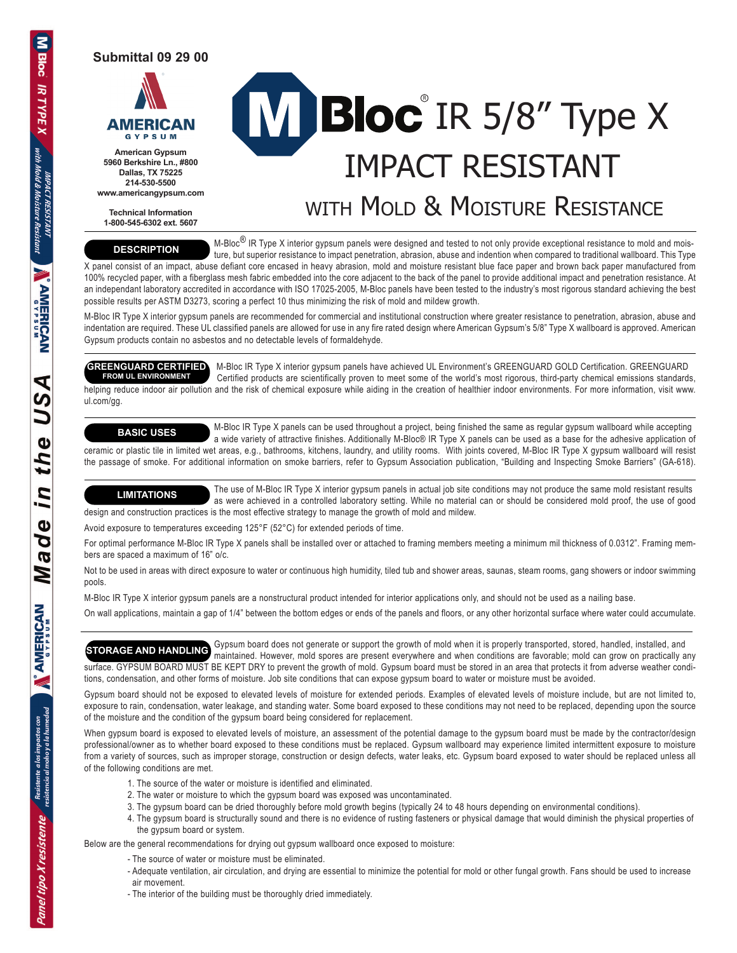**Submittal 09 29 00**



**American Gypsum 5960 Berkshire Ln., #800 Dallas, TX 75225 214-530-5500 www.americangypsum.com**

**Technical Information 1-800-545-6302 ext. 5607**

# Bloc IR 5/8" Type X IMPACT RESISTANT

# WITH MOLD & MOISTURE RESISTANCE

#### **DESCRIPTION**

M-Bloc<sup>®</sup> IR Type X interior gypsum panels were designed and tested to not only provide exceptional resistance to mold and moisture, but superior resistance to impact penetration, abrasion, abuse and indention when compared to traditional wallboard. This Type

X panel consist of an impact, abuse defiant core encased in heavy abrasion, mold and moisture resistant blue face paper and brown back paper manufactured from 100% recycled paper, with a fiberglass mesh fabric embedded into the core adjacent to the back of the panel to provide additional impact and penetration resistance. At an independant laboratory accredited in accordance with ISO 17025-2005, M-Bloc panels have been tested to the industry's most rigorous standard achieving the best possible results per ASTM D3273, scoring a perfect 10 thus minimizing the risk of mold and mildew growth.

M-Bloc IR Type X interior gypsum panels are recommended for commercial and institutional construction where greater resistance to penetration, abrasion, abuse and indentation are required. These UL classified panels are allowed for use in any fire rated design where American Gypsum's 5/8" Type X wallboard is approved. American Gypsum products contain no asbestos and no detectable levels of formaldehyde.

 M-Bloc IR Type X interior gypsum panels have achieved UL Environment's GREENGUARD GOLD Certification. GREENGUARD Certified products are scientifically proven to meet some of the world's most rigorous, third-party chemical emissions standards, helping reduce indoor air pollution and the risk of chemical exposure while aiding in the creation of healthier indoor environments. For more information, visit www. **GREENGUARD CERTIFIED FROM UL ENVIRONMENT**

### **BASIC USES**

ul.com/gg.

 M-Bloc IR Type X panels can be used throughout a project, being finished the same as regular gypsum wallboard while accepting a wide variety of attractive finishes. Additionally M-Bloc® IR Type X panels can be used as a base for the adhesive application of ceramic or plastic tile in limited wet areas, e.g., bathrooms, kitchens, laundry, and utility rooms. With joints covered, M-Bloc IR Type X gypsum wallboard will resist the passage of smoke. For additional information on smoke barriers, refer to Gypsum Association publication, "Building and Inspecting Smoke Barriers" (GA-618).

The use of M-Bloc IR Type X interior gypsum panels in actual job site conditions may not produce the same mold resistant results

 as were achieved in a controlled laboratory setting. While no material can or should be considered mold proof, the use of good design and construction practices is the most effective strategy to manage the growth of mold and mildew. **LIMITATIONS**

Avoid exposure to temperatures exceeding 125°F (52°C) for extended periods of time.

For optimal performance M-Bloc IR Type X panels shall be installed over or attached to framing members meeting a minimum mil thickness of 0.0312". Framing members are spaced a maximum of 16" o/c.

Not to be used in areas with direct exposure to water or continuous high humidity, tiled tub and shower areas, saunas, steam rooms, gang showers or indoor swimming pools.

M-Bloc IR Type X interior gypsum panels are a nonstructural product intended for interior applications only, and should not be used as a nailing base.

On wall applications, maintain a gap of 1/4" between the bottom edges or ends of the panels and floors, or any other horizontal surface where water could accumulate.

GHOR ARE AND HAND IN GYPSUM board does not generate or support the growth of mold when it is properly transported, stored, handled, installed, and **STORAGE AND HANDLING** maintained. However, mold spores are present everywhere and when conditions are favorable; mold can grow on practically any surface. GYPSUM BOARD MUST BE KEPT DRY to prevent the growth of mold. Gypsum board must be stored in an area that protects it from adverse weather conditions, condensation, and other forms of moisture. Job site conditions that can expose gypsum board to water or moisture must be avoided.

Gypsum board should not be exposed to elevated levels of moisture for extended periods. Examples of elevated levels of moisture include, but are not limited to, exposure to rain, condensation, water leakage, and standing water. Some board exposed to these conditions may not need to be replaced, depending upon the source of the moisture and the condition of the gypsum board being considered for replacement.

When gypsum board is exposed to elevated levels of moisture, an assessment of the potential damage to the gypsum board must be made by the contractor/design professional/owner as to whether board exposed to these conditions must be replaced. Gypsum wallboard may experience limited intermittent exposure to moisture from a variety of sources, such as improper storage, construction or design defects, water leaks, etc. Gypsum board exposed to water should be replaced unless all of the following conditions are met.

- 1. The source of the water or moisture is identified and eliminated.
- 2. The water or moisture to which the gypsum board was exposed was uncontaminated.
- 3. The gypsum board can be dried thoroughly before mold growth begins (typically 24 to 48 hours depending on environmental conditions).
- 4. The gypsum board is structurally sound and there is no evidence of rusting fasteners or physical damage that would diminish the physical properties of the gypsum board or system.

Below are the general recommendations for drying out gypsum wallboard once exposed to moisture:

- The source of water or moisture must be eliminated.
- Adequate ventilation, air circulation, and drying are essential to minimize the potential for mold or other fungal growth. Fans should be used to increase air movement.
- The interior of the building must be thoroughly dried immediately.